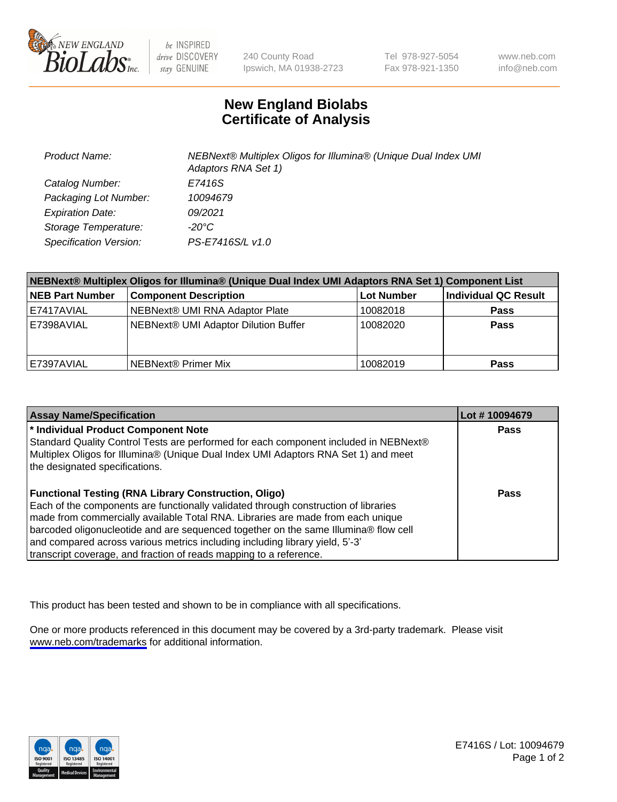

be INSPIRED drive DISCOVERY stay GENUINE

240 County Road Ipswich, MA 01938-2723 Tel 978-927-5054 Fax 978-921-1350

www.neb.com info@neb.com

## **New England Biolabs Certificate of Analysis**

| <b>Product Name:</b>    | NEBNext® Multiplex Oligos for Illumina® (Unique Dual Index UMI<br>Adaptors RNA Set 1) |
|-------------------------|---------------------------------------------------------------------------------------|
| Catalog Number:         | E7416S                                                                                |
| Packaging Lot Number:   | 10094679                                                                              |
| <b>Expiration Date:</b> | 09/2021                                                                               |
| Storage Temperature:    | $-20^{\circ}$ C                                                                       |
| Specification Version:  | PS-E7416S/L v1.0                                                                      |

| NEBNext® Multiplex Oligos for Illumina® (Unique Dual Index UMI Adaptors RNA Set 1) Component List |                                      |                   |                      |  |
|---------------------------------------------------------------------------------------------------|--------------------------------------|-------------------|----------------------|--|
| <b>NEB Part Number</b>                                                                            | <b>Component Description</b>         | <b>Lot Number</b> | Individual QC Result |  |
| E7417AVIAL                                                                                        | NEBNext® UMI RNA Adaptor Plate       | 10082018          | <b>Pass</b>          |  |
| E7398AVIAL                                                                                        | NEBNext® UMI Adaptor Dilution Buffer | 10082020          | <b>Pass</b>          |  |
| E7397AVIAL                                                                                        | l NEBNext® Primer Mix                | 10082019          | <b>Pass</b>          |  |

| <b>Assay Name/Specification</b>                                                      | Lot #10094679 |
|--------------------------------------------------------------------------------------|---------------|
| <sup>*</sup> Individual Product Component Note                                       | <b>Pass</b>   |
| Standard Quality Control Tests are performed for each component included in NEBNext® |               |
| Multiplex Oligos for Illumina® (Unique Dual Index UMI Adaptors RNA Set 1) and meet   |               |
| the designated specifications.                                                       |               |
|                                                                                      |               |
| <b>Functional Testing (RNA Library Construction, Oligo)</b>                          | Pass          |
| Each of the components are functionally validated through construction of libraries  |               |
| made from commercially available Total RNA. Libraries are made from each unique      |               |
| barcoded oligonucleotide and are sequenced together on the same Illumina® flow cell  |               |
| and compared across various metrics including including library yield, 5'-3'         |               |
| transcript coverage, and fraction of reads mapping to a reference.                   |               |

This product has been tested and shown to be in compliance with all specifications.

One or more products referenced in this document may be covered by a 3rd-party trademark. Please visit <www.neb.com/trademarks>for additional information.